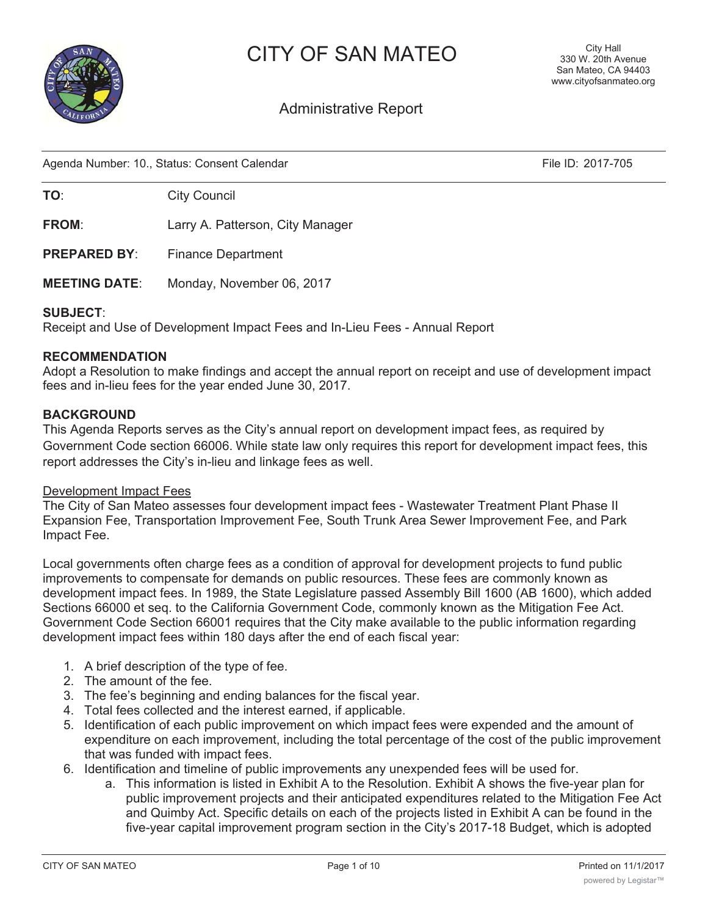

# CITY OF SAN MATEO

## Administrative Report

Agenda Number: 10., Status: Consent Calendar File ID: 2017-705

**TO:** City Council

FROM: Larry A. Patterson, City Manager

PREPARED BY: Finance Department

MEETING DATE: Monday, November 06, 2017

## SUBJECT:

Receipt and Use of Development Impact Fees and In-Lieu Fees - Annual Report

## RECOMMENDATION

Adopt a Resolution to make findings and accept the annual report on receipt and use of development impact fees and in-lieu fees for the year ended June 30, 2017.

## BACKGROUND

This Agenda Reports serves as the City's annual report on development impact fees, as required by Government Code section 66006. While state law only requires this report for development impact fees, this report addresses the City's in-lieu and linkage fees as well.

#### Development Impact Fees

The City of San Mateo assesses four development impact fees - Wastewater Treatment Plant Phase II Expansion Fee, Transportation Improvement Fee, South Trunk Area Sewer Improvement Fee, and Park Impact Fee.

Local governments often charge fees as a condition of approval for development projects to fund public improvements to compensate for demands on public resources. These fees are commonly known as development impact fees. In 1989, the State Legislature passed Assembly Bill 1600 (AB 1600), which added Sections 66000 et seq. to the California Government Code, commonly known as the Mitigation Fee Act. Government Code Section 66001 requires that the City make available to the public information regarding development impact fees within 180 days after the end of each fiscal year:

- 1. A brief description of the type of fee.
- 2. The amount of the fee.
- 3. The fee's beginning and ending balances for the fiscal year.
- 4. Total fees collected and the interest earned, if applicable.
- 5. Identification of each public improvement on which impact fees were expended and the amount of expenditure on each improvement, including the total percentage of the cost of the public improvement that was funded with impact fees.
- 6. Identification and timeline of public improvements any unexpended fees will be used for.
	- a. This information is listed in Exhibit A to the Resolution. Exhibit A shows the five-year plan for public improvement projects and their anticipated expenditures related to the Mitigation Fee Act and Quimby Act. Specific details on each of the projects listed in Exhibit A can be found in the five-year capital improvement program section in the City's 2017-18 Budget, which is adopted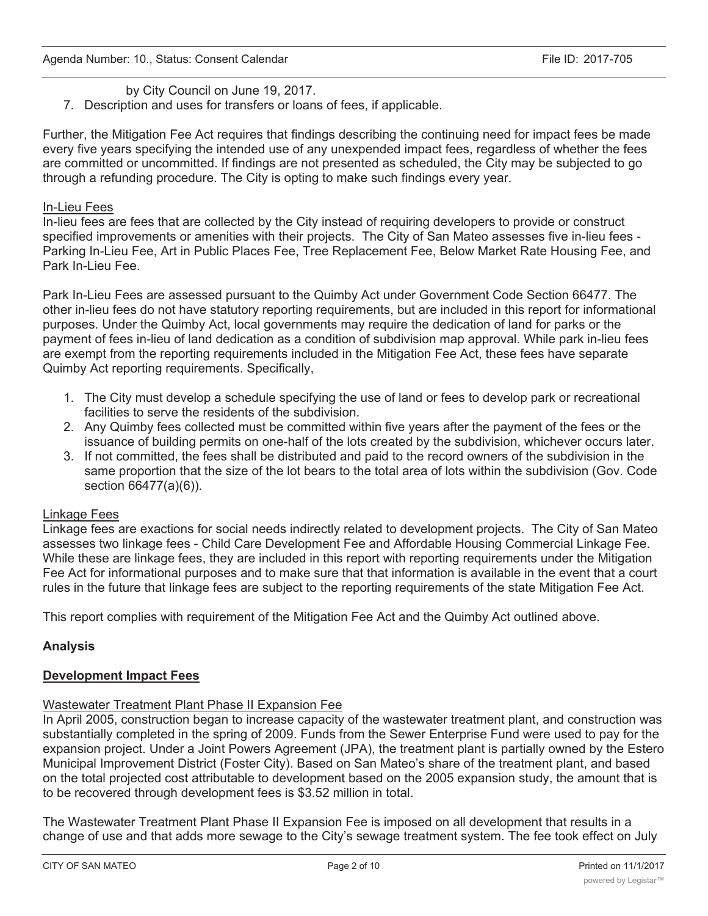## by City Council on June 19, 2017.

7. Description and uses for transfers or loans of fees, if applicable.

Further, the Mitigation Fee Act requires that findings describing the continuing need for impact fees be made every five years specifying the intended use of any unexpended impact fees, regardless of whether the fees are committed or uncommitted. If findings are not presented as scheduled, the City may be subjected to go through a refunding procedure. The City is opting to make such findings every year.

## In-Lieu Fees

In-lieu fees are fees that are collected by the City instead of requiring developers to provide or construct specified improvements or amenities with their projects. The City of San Mateo assesses five in-lieu fees - Parking In-Lieu Fee, Art in Public Places Fee, Tree Replacement Fee, Below Market Rate Housing Fee, and Park In-Lieu Fee.

Park In-Lieu Fees are assessed pursuant to the Quimby Act under Government Code Section 66477. The other in-lieu fees do not have statutory reporting requirements, but are included in this report for informational purposes. Under the Quimby Act, local governments may require the dedication of land for parks or the payment of fees in-lieu of land dedication as a condition of subdivision map approval. While park in-lieu fees are exempt from the reporting requirements included in the Mitigation Fee Act, these fees have separate Quimby Act reporting requirements. Specifically,

- 1. The City must develop a schedule specifying the use of land or fees to develop park or recreational facilities to serve the residents of the subdivision.
- 2. Any Quimby fees collected must be committed within five years after the payment of the fees or the issuance of building permits on one-half of the lots created by the subdivision, whichever occurs later.
- 3. If not committed, the fees shall be distributed and paid to the record owners of the subdivision in the same proportion that the size of the lot bears to the total area of lots within the subdivision (Gov. Code section 66477(a)(6)).

## Linkage Fees

Linkage fees are exactions for social needs indirectly related to development projects. The City of San Mateo assesses two linkage fees - Child Care Development Fee and Affordable Housing Commercial Linkage Fee. While these are linkage fees, they are included in this report with reporting requirements under the Mitigation Fee Act for informational purposes and to make sure that that information is available in the event that a court rules in the future that linkage fees are subject to the reporting requirements of the state Mitigation Fee Act.

This report complies with requirement of the Mitigation Fee Act and the Quimby Act outlined above.

## Analysis

## Development Impact Fees

## Wastewater Treatment Plant Phase II Expansion Fee

In April 2005, construction began to increase capacity of the wastewater treatment plant, and construction was substantially completed in the spring of 2009. Funds from the Sewer Enterprise Fund were used to pay for the expansion project. Under a Joint Powers Agreement (JPA), the treatment plant is partially owned by the Estero Municipal Improvement District (Foster City). Based on San Mateo's share of the treatment plant, and based on the total projected cost attributable to development based on the 2005 expansion study, the amount that is to be recovered through development fees is \$3.52 million in total.

The Wastewater Treatment Plant Phase II Expansion Fee is imposed on all development that results in a change of use and that adds more sewage to the City's sewage treatment system. The fee took effect on July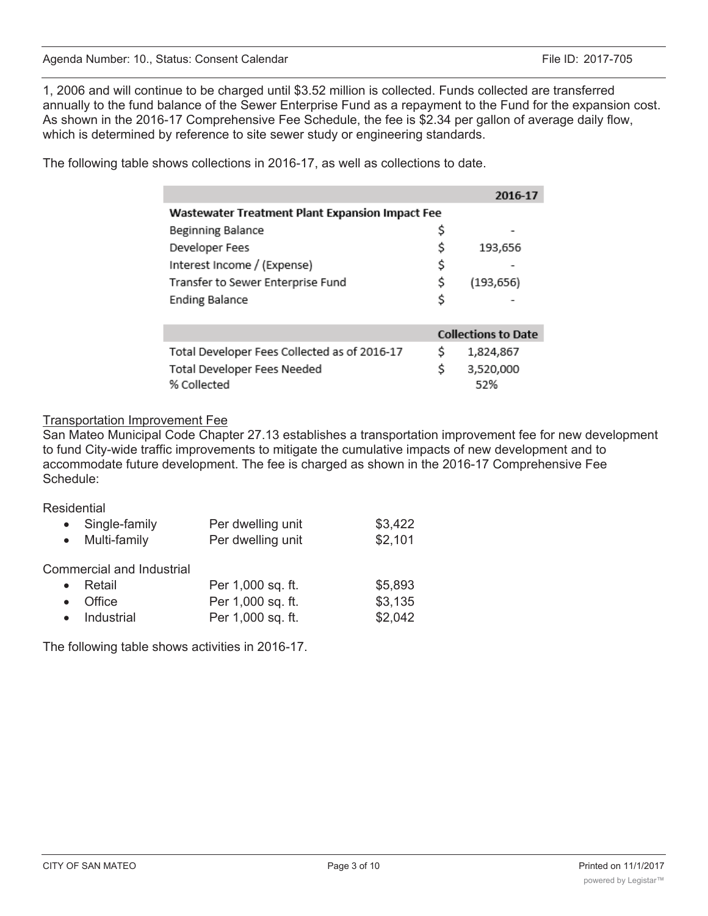1, 2006 and will continue to be charged until \$3.52 million is collected. Funds collected are transferred annually to the fund balance of the Sewer Enterprise Fund as a repayment to the Fund for the expansion cost. As shown in the 2016-17 Comprehensive Fee Schedule, the fee is \$2.34 per gallon of average daily flow, which is determined by reference to site sewer study or engineering standards.

|                                                 | 2016-17                    |
|-------------------------------------------------|----------------------------|
| Wastewater Treatment Plant Expansion Impact Fee |                            |
| Beginning Balance                               | \$                         |
| Developer Fees                                  | \$<br>193,656              |
| Interest Income / (Expense)                     | \$                         |
| Transfer to Sewer Enterprise Fund               | \$<br>(193, 656)           |
| <b>Ending Balance</b>                           | \$                         |
|                                                 |                            |
|                                                 | <b>Collections to Date</b> |
| Total Developer Fees Collected as of 2016-17    | \$<br>1,824,867            |
| Total Developer Fees Needed                     | \$<br>3,520,000            |
| % Collected                                     | .52%                       |

The following table shows collections in 2016-17, as well as collections to date.

## Transportation Improvement Fee

San Mateo Municipal Code Chapter 27.13 establishes a transportation improvement fee for new development to fund City-wide traffic improvements to mitigate the cumulative impacts of new development and to accommodate future development. The fee is charged as shown in the 2016-17 Comprehensive Fee Schedule:

Residential

| \$3,422<br>\$2,101 |
|--------------------|
|                    |
| \$5,893            |
| \$3,135            |
| \$2,042            |
|                    |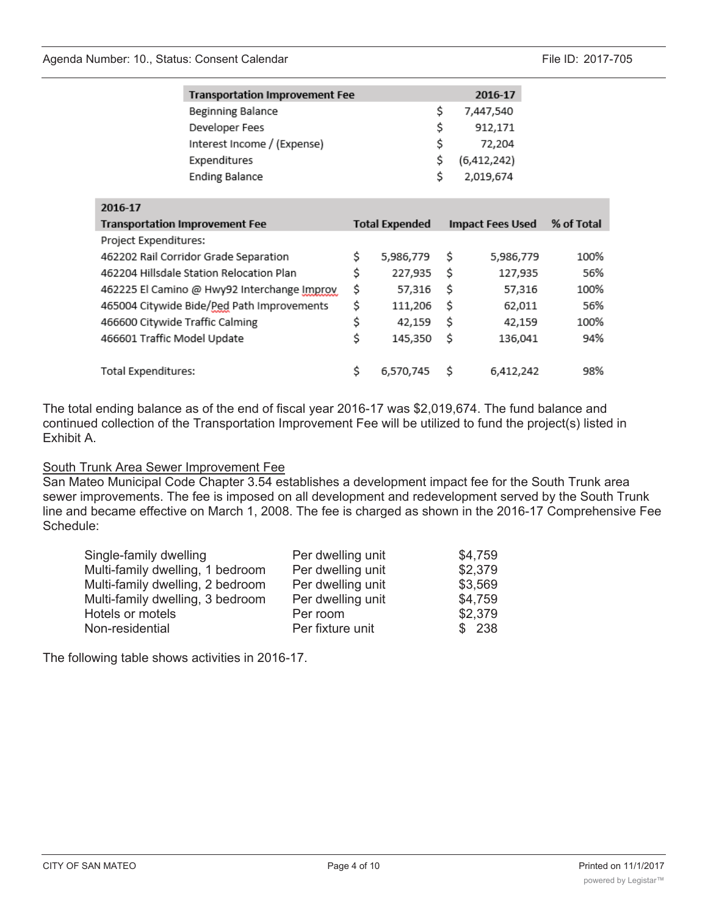|                                 | <b>Transportation Improvement Fee</b>       | 2016-17               |                         |            |
|---------------------------------|---------------------------------------------|-----------------------|-------------------------|------------|
|                                 | Beginning Balance                           |                       | \$<br>7,447,540         |            |
|                                 | Developer Fees                              |                       | \$<br>912,171           |            |
|                                 | Interest Income / (Expense)                 |                       | \$<br>72,204            |            |
|                                 | Expenditures                                |                       | \$<br>(6,412,242)       |            |
|                                 | <b>Ending Balance</b>                       |                       | \$<br>2,019,674         |            |
|                                 |                                             |                       |                         |            |
| 2016-17                         |                                             |                       |                         |            |
|                                 | <b>Transportation Improvement Fee</b>       | <b>Total Expended</b> | <b>Impact Fees Used</b> | % of Total |
| Project Expenditures:           |                                             |                       |                         |            |
|                                 | 462202 Rail Corridor Grade Separation       | \$<br>5,986,779       | \$<br>5,986,779         | 100%       |
|                                 | 462204 Hillsdale Station Relocation Plan    | \$<br>227,935         | \$<br>127,935           | 56%        |
|                                 | 462225 El Camino @ Hwy92 Interchange Improv | \$<br>57,316          | \$<br>57,316            | 100%       |
|                                 | 465004 Citywide Bide/Ped Path Improvements  | \$<br>111,206         | \$<br>62,011            | 56%        |
| 466600 Citywide Traffic Calming |                                             | \$<br>42,159          | \$<br>42,159            | 100%       |
| 466601 Traffic Model Update     |                                             | \$<br>145,350         | \$<br>136,041           | 94%        |
|                                 |                                             |                       |                         |            |
| Total Expenditures:             |                                             | \$<br>6,570,745       | \$<br>6,412,242         | 98%        |

The total ending balance as of the end of fiscal year 2016-17 was \$2,019,674. The fund balance and continued collection of the Transportation Improvement Fee will be utilized to fund the project(s) listed in Exhibit A.

## South Trunk Area Sewer Improvement Fee

San Mateo Municipal Code Chapter 3.54 establishes a development impact fee for the South Trunk area sewer improvements. The fee is imposed on all development and redevelopment served by the South Trunk line and became effective on March 1, 2008. The fee is charged as shown in the 2016-17 Comprehensive Fee Schedule:

| Single-family dwelling           | Per dwelling unit | \$4,759 |
|----------------------------------|-------------------|---------|
| Multi-family dwelling, 1 bedroom | Per dwelling unit | \$2,379 |
| Multi-family dwelling, 2 bedroom | Per dwelling unit | \$3,569 |
| Multi-family dwelling, 3 bedroom | Per dwelling unit | \$4,759 |
| Hotels or motels                 | Per room          | \$2,379 |
| Non-residential                  | Per fixture unit  | \$238   |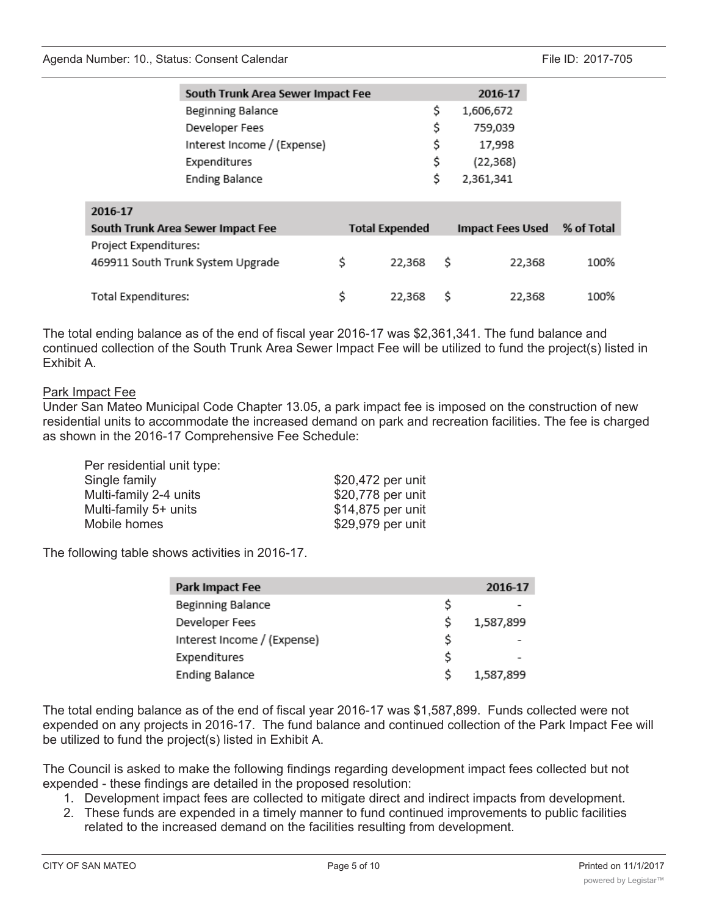| South Trunk Area Sewer Impact Fee |                       | 2016-17          |            |
|-----------------------------------|-----------------------|------------------|------------|
| Beginning Balance                 |                       | \$<br>1,606,672  |            |
| Developer Fees                    |                       | \$<br>759,039    |            |
| Interest Income / (Expense)       |                       | \$<br>17,998     |            |
| Expenditures                      |                       | \$<br>(22, 368)  |            |
| <b>Ending Balance</b>             |                       | \$<br>2,361,341  |            |
|                                   |                       |                  |            |
| 2016-17                           |                       |                  |            |
| South Trunk Area Sewer Impact Fee | <b>Total Expended</b> | Impact Fees Used | % of Total |
| Project Expenditures:             |                       |                  |            |
| 469911 South Trunk System Upgrade | \$<br>22,368          | \$<br>22,368     | 100%       |
|                                   |                       |                  |            |
| Total Expenditures:               | \$<br>22,368          | \$<br>22,368     | 100%       |

The total ending balance as of the end of fiscal year 2016-17 was \$2,361,341. The fund balance and continued collection of the South Trunk Area Sewer Impact Fee will be utilized to fund the project(s) listed in Exhibit A.

## Park Impact Fee

Under San Mateo Municipal Code Chapter 13.05, a park impact fee is imposed on the construction of new residential units to accommodate the increased demand on park and recreation facilities. The fee is charged as shown in the 2016-17 Comprehensive Fee Schedule:

| Per residential unit type: |                   |
|----------------------------|-------------------|
| Single family              | \$20,472 per unit |
| Multi-family 2-4 units     | \$20,778 per unit |
| Multi-family 5+ units      | \$14,875 per unit |
| Mobile homes               | \$29,979 per unit |
|                            |                   |

The following table shows activities in 2016-17.

| Park Impact Fee             |   | 2016-17   |
|-----------------------------|---|-----------|
| Beginning Balance           | S |           |
| Developer Fees              | S | 1,587,899 |
| Interest Income / (Expense) | Ś |           |
| Expenditures                | Ś |           |
| <b>Ending Balance</b>       |   | 1,587,899 |

The total ending balance as of the end of fiscal year 2016-17 was \$1,587,899. Funds collected were not expended on any projects in 2016-17. The fund balance and continued collection of the Park Impact Fee will be utilized to fund the project(s) listed in Exhibit A.

The Council is asked to make the following findings regarding development impact fees collected but not expended - these findings are detailed in the proposed resolution:

- 1. Development impact fees are collected to mitigate direct and indirect impacts from development.
- 2. These funds are expended in a timely manner to fund continued improvements to public facilities related to the increased demand on the facilities resulting from development.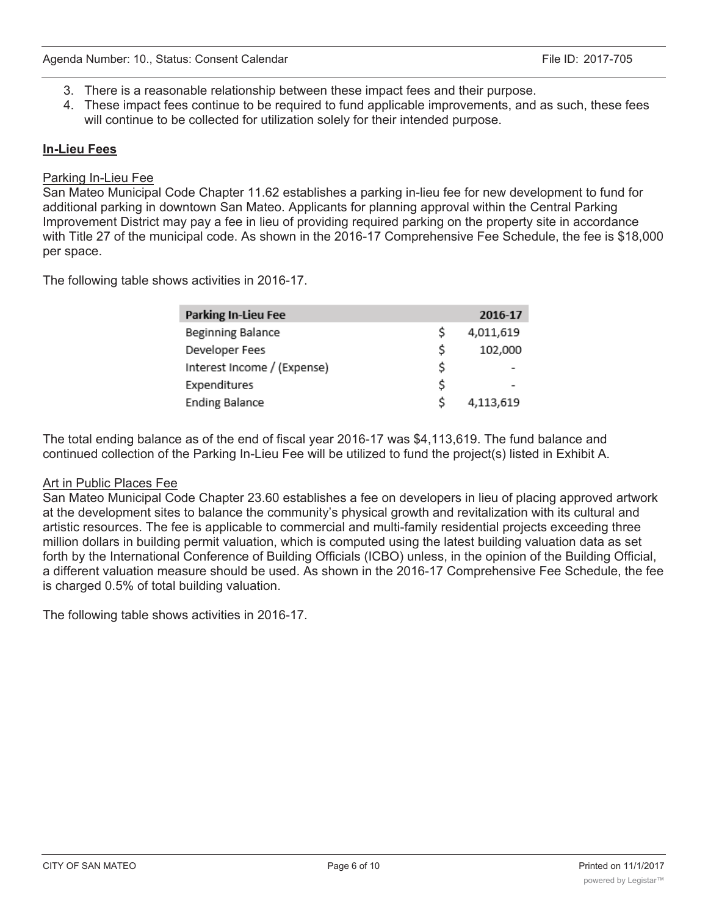- 3. There is a reasonable relationship between these impact fees and their purpose.
- 4. These impact fees continue to be required to fund applicable improvements, and as such, these fees will continue to be collected for utilization solely for their intended purpose.

## In-Lieu Fees

## Parking In-Lieu Fee

San Mateo Municipal Code Chapter 11.62 establishes a parking in-lieu fee for new development to fund for additional parking in downtown San Mateo. Applicants for planning approval within the Central Parking Improvement District may pay a fee in lieu of providing required parking on the property site in accordance with Title 27 of the municipal code. As shown in the 2016-17 Comprehensive Fee Schedule, the fee is \$18,000 per space.

The following table shows activities in 2016-17.

| <b>Parking In-Lieu Fee</b>  |    | 2016-17   |
|-----------------------------|----|-----------|
| Beginning Balance           | \$ | 4,011,619 |
| Developer Fees              | \$ | 102,000   |
| Interest Income / (Expense) | \$ |           |
| Expenditures                | \$ |           |
| <b>Ending Balance</b>       | Ś. | 4,113,619 |

The total ending balance as of the end of fiscal year 2016-17 was \$4,113,619. The fund balance and continued collection of the Parking In-Lieu Fee will be utilized to fund the project(s) listed in Exhibit A.

## Art in Public Places Fee

San Mateo Municipal Code Chapter 23.60 establishes a fee on developers in lieu of placing approved artwork at the development sites to balance the community's physical growth and revitalization with its cultural and artistic resources. The fee is applicable to commercial and multi-family residential projects exceeding three million dollars in building permit valuation, which is computed using the latest building valuation data as set forth by the International Conference of Building Officials (ICBO) unless, in the opinion of the Building Official, a different valuation measure should be used. As shown in the 2016-17 Comprehensive Fee Schedule, the fee is charged 0.5% of total building valuation.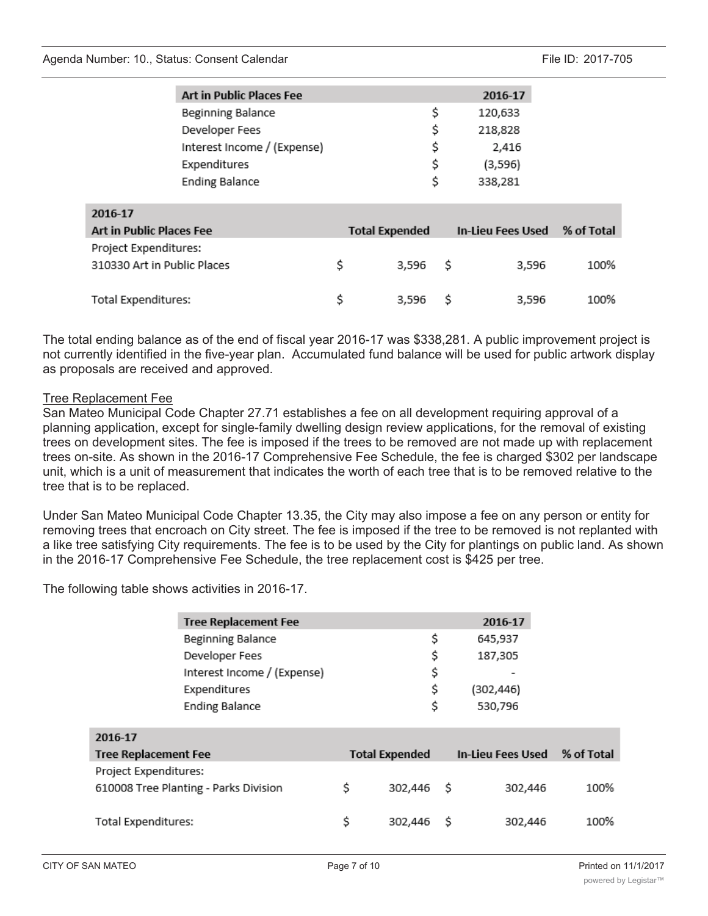#### Agenda Number: 10., Status: Consent Calendar File ID: 2017-705

| S | 120,633 |
|---|---------|
|   |         |
| s | 218,828 |
|   | 2,416   |
| S | (3,596) |
| S | 338,281 |
|   |         |

| 2016-17                     |                       |           |                   |       |            |
|-----------------------------|-----------------------|-----------|-------------------|-------|------------|
| Art in Public Places Fee    | <b>Total Expended</b> |           | In-Lieu Fees Used |       | % of Total |
| Project Expenditures:       |                       |           |                   |       |            |
| 310330 Art in Public Places |                       | $3.596$ S |                   | 3,596 | 100%       |
|                             |                       |           |                   |       |            |
| Total Expenditures:         |                       | $3.596$ S |                   | 3,596 | 100%       |

The total ending balance as of the end of fiscal year 2016-17 was \$338,281. A public improvement project is not currently identified in the five-year plan. Accumulated fund balance will be used for public artwork display as proposals are received and approved.

## Tree Replacement Fee

San Mateo Municipal Code Chapter 27.71 establishes a fee on all development requiring approval of a planning application, except for single-family dwelling design review applications, for the removal of existing trees on development sites. The fee is imposed if the trees to be removed are not made up with replacement trees on-site. As shown in the 2016-17 Comprehensive Fee Schedule, the fee is charged \$302 per landscape unit, which is a unit of measurement that indicates the worth of each tree that is to be removed relative to the tree that is to be replaced.

Under San Mateo Municipal Code Chapter 13.35, the City may also impose a fee on any person or entity for removing trees that encroach on City street. The fee is imposed if the tree to be removed is not replanted with a like tree satisfying City requirements. The fee is to be used by the City for plantings on public land. As shown in the 2016-17 Comprehensive Fee Schedule, the tree replacement cost is \$425 per tree.

|                             | <b>Tree Replacement Fee</b>           |                       | 2016-17           |            |
|-----------------------------|---------------------------------------|-----------------------|-------------------|------------|
|                             | Beginning Balance                     | \$                    | 645,937           |            |
|                             | Developer Fees                        | \$                    | 187,305           |            |
|                             | Interest Income / (Expense)           | \$                    |                   |            |
|                             | Expenditures                          | \$                    | (302,446)         |            |
|                             | <b>Ending Balance</b>                 | \$                    | 530,796           |            |
|                             |                                       |                       |                   |            |
| 2016-17                     |                                       |                       |                   |            |
| <b>Tree Replacement Fee</b> |                                       | <b>Total Expended</b> | In-Lieu Fees Used | % of Total |
| Project Expenditures:       |                                       |                       |                   |            |
|                             | 610008 Tree Planting - Parks Division | \$<br>302,446         | \$<br>302,446     | 100%       |
|                             |                                       |                       |                   |            |
|                             |                                       |                       |                   |            |
| Total Expenditures:         |                                       | \$<br>302,446         | \$<br>302,446     | 100%       |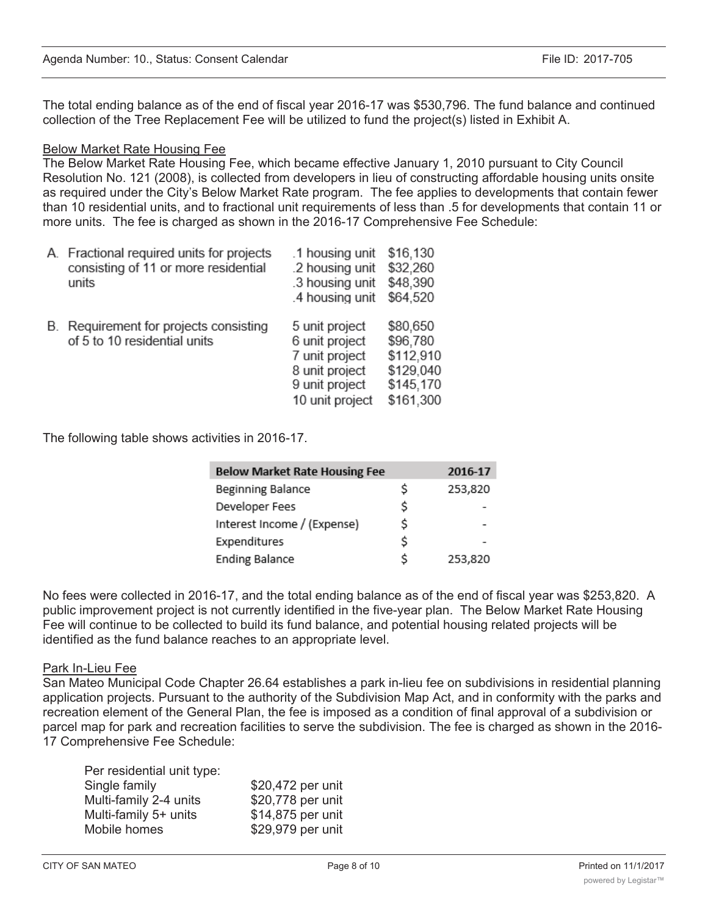The total ending balance as of the end of fiscal year 2016-17 was \$530,796. The fund balance and continued collection of the Tree Replacement Fee will be utilized to fund the project(s) listed in Exhibit A.

## Below Market Rate Housing Fee

The Below Market Rate Housing Fee, which became effective January 1, 2010 pursuant to City Council Resolution No. 121 (2008), is collected from developers in lieu of constructing affordable housing units onsite as required under the City's Below Market Rate program. The fee applies to developments that contain fewer than 10 residential units, and to fractional unit requirements of less than .5 for developments that contain 11 or more units. The fee is charged as shown in the 2016-17 Comprehensive Fee Schedule:

| А. | Fractional required units for projects<br>consisting of 11 or more residential<br>units | .1 housing unit<br>.2 housing unit<br>.3 housing unit<br>.4 housing unit                                  | \$16,130<br>\$32,260<br>\$48,390<br>\$64,520                             |
|----|-----------------------------------------------------------------------------------------|-----------------------------------------------------------------------------------------------------------|--------------------------------------------------------------------------|
| В. | Requirement for projects consisting<br>of 5 to 10 residential units                     | 5 unit project<br>6 unit project<br>7 unit project<br>8 unit project<br>9 unit project<br>10 unit project | \$80,650<br>\$96,780<br>\$112,910<br>\$129,040<br>\$145,170<br>\$161,300 |

The following table shows activities in 2016-17.

| <b>Below Market Rate Housing Fee</b> |    | 2016-17 |
|--------------------------------------|----|---------|
| Beginning Balance                    | \$ | 253,820 |
| Developer Fees                       | \$ |         |
| Interest Income / (Expense)          | \$ |         |
| Expenditures                         | \$ |         |
| <b>Ending Balance</b>                | Ś  | 253,820 |

No fees were collected in 2016-17, and the total ending balance as of the end of fiscal year was \$253,820. A public improvement project is not currently identified in the five-year plan. The Below Market Rate Housing Fee will continue to be collected to build its fund balance, and potential housing related projects will be identified as the fund balance reaches to an appropriate level.

## Park In-Lieu Fee

San Mateo Municipal Code Chapter 26.64 establishes a park in-lieu fee on subdivisions in residential planning application projects. Pursuant to the authority of the Subdivision Map Act, and in conformity with the parks and recreation element of the General Plan, the fee is imposed as a condition of final approval of a subdivision or parcel map for park and recreation facilities to serve the subdivision. The fee is charged as shown in the 2016- 17 Comprehensive Fee Schedule:

| Per residential unit type: |                   |
|----------------------------|-------------------|
| Single family              | \$20,472 per unit |
| Multi-family 2-4 units     | \$20,778 per unit |
| Multi-family 5+ units      | \$14,875 per unit |
| Mobile homes               | \$29,979 per unit |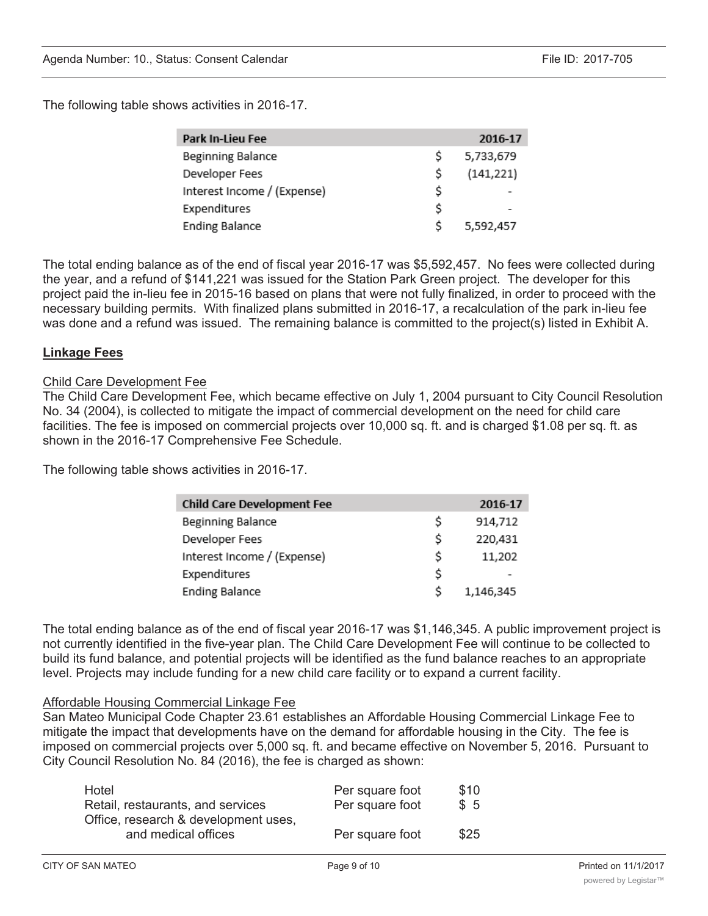The following table shows activities in 2016-17.

| Park In-Lieu Fee            |    | 2016-17    |
|-----------------------------|----|------------|
| Beginning Balance           | Ś  | 5,733,679  |
| Developer Fees              | \$ | (141, 221) |
| Interest Income / (Expense) | \$ |            |
| Expenditures                | \$ |            |
| <b>Ending Balance</b>       | Ś  | 5,592,457  |

The total ending balance as of the end of fiscal year 2016-17 was \$5,592,457. No fees were collected during the year, and a refund of \$141,221 was issued for the Station Park Green project. The developer for this project paid the in-lieu fee in 2015-16 based on plans that were not fully finalized, in order to proceed with the necessary building permits. With finalized plans submitted in 2016-17, a recalculation of the park in-lieu fee was done and a refund was issued. The remaining balance is committed to the project(s) listed in Exhibit A.

## Linkage Fees

#### Child Care Development Fee

The Child Care Development Fee, which became effective on July 1, 2004 pursuant to City Council Resolution No. 34 (2004), is collected to mitigate the impact of commercial development on the need for child care facilities. The fee is imposed on commercial projects over 10,000 sq. ft. and is charged \$1.08 per sq. ft. as shown in the 2016-17 Comprehensive Fee Schedule.

The following table shows activities in 2016-17.

| <b>Child Care Development Fee</b> |    | 2016-17   |
|-----------------------------------|----|-----------|
| Beginning Balance                 | \$ | 914,712   |
| Developer Fees                    | \$ | 220,431   |
| Interest Income / (Expense)       | Ś  | 11,202    |
| Expenditures                      | \$ |           |
| <b>Ending Balance</b>             | S  | 1,146,345 |

The total ending balance as of the end of fiscal year 2016-17 was \$1,146,345. A public improvement project is not currently identified in the five-year plan. The Child Care Development Fee will continue to be collected to build its fund balance, and potential projects will be identified as the fund balance reaches to an appropriate level. Projects may include funding for a new child care facility or to expand a current facility.

#### Affordable Housing Commercial Linkage Fee

San Mateo Municipal Code Chapter 23.61 establishes an Affordable Housing Commercial Linkage Fee to mitigate the impact that developments have on the demand for affordable housing in the City. The fee is imposed on commercial projects over 5,000 sq. ft. and became effective on November 5, 2016. Pursuant to City Council Resolution No. 84 (2016), the fee is charged as shown:

| Hotel                                | Per square foot | \$10 |
|--------------------------------------|-----------------|------|
| Retail, restaurants, and services    | Per square foot | \$5  |
| Office, research & development uses, |                 |      |
| and medical offices                  | Per square foot | \$25 |
|                                      |                 |      |